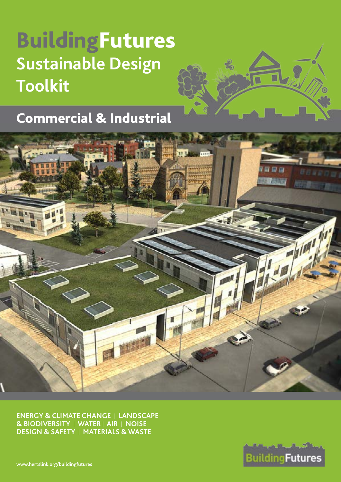# BuildingFutures **Sustainable Design Toolkit**



# - 43 hio!

**ENERGY & CLIMATE CHANGE** I **LANDSCAPE & BIODIVERSITY** I **WATER** I **AIR** I **NOISE DESIGN & SAFETY** I **MATERIALS & WASTE**



**[www.hertslink.org/buildingfutures](http://www.hertslink.org/buildingfutures)**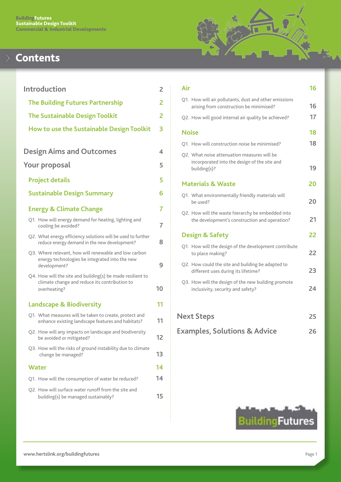# **Contents**

| <b>Introduction</b>                                                                                                         | $\overline{2}$ |
|-----------------------------------------------------------------------------------------------------------------------------|----------------|
| <b>The Building Futures Partnership</b>                                                                                     | 2              |
| <b>The Sustainable Design Toolkit</b>                                                                                       | 2              |
| How to use the Sustainable Design Toolkit                                                                                   | 3              |
| <b>Design Aims and Outcomes</b>                                                                                             | 4              |
| Your proposal                                                                                                               | 5              |
| <b>Project details</b>                                                                                                      | 5              |
| <b>Sustainable Design Summary</b>                                                                                           | 6              |
| <b>Energy &amp; Climate Change</b>                                                                                          | 7              |
| Q1. How will energy demand for heating, lighting and<br>cooling be avoided?                                                 | $\overline{7}$ |
| Q2. What energy efficiency solutions will be used to further<br>reduce energy demand in the new development?                | 8              |
| Q3. Where relevant, how will renewable and low carbon<br>energy technologies be integrated into the new<br>development?     | 9              |
| Q4. How will the site and building(s) be made resilient to<br>climate change and reduce its contribution to<br>overheating? | 10             |
| <b>Landscape &amp; Biodiversity</b>                                                                                         | 11             |
| Q1. What measures will be taken to create, protect and<br>enhance existing landscape features and habitats?                 | 11             |
| Q2. How will any impacts on landscape and biodiversity<br>be avoided or mitigated?                                          | 12             |
| Q3. How will the risks of ground instability due to climate<br>change be managed?                                           | 13             |
| Water                                                                                                                       | 14             |
| Q1. How will the consumption of water be reduced?                                                                           | 14             |
| Q2. How will surface water runoff from the site and<br>building(s) be managed sustainably?                                  | 15             |
|                                                                                                                             |                |

# ū đ

| Air                                                                                                         | 16 |
|-------------------------------------------------------------------------------------------------------------|----|
| Q1. How will air pollutants, dust and other emissions<br>arising from construction be minimised?            | 16 |
| Q2. How will good internal air quality be achieved?                                                         | 17 |
| <b>Noise</b>                                                                                                | 18 |
| Q1. How will construction noise be minimised?                                                               | 18 |
| Q2. What noise attenuation measures will be<br>incorporated into the design of the site and<br>building(s)? | 19 |
| <b>Materials &amp; Waste</b>                                                                                | 20 |
| Q1. What environmentally friendly materials will<br>be used?                                                | 20 |
| Q2. How will the waste hierarchy be embedded into<br>the development's construction and operation?          | 21 |
| <b>Design &amp; Safety</b>                                                                                  | 22 |
| Q1. How will the design of the development contribute<br>to place making?                                   | 22 |
| Q2. How could the site and building be adapted to<br>different uses during its lifetime?                    | 23 |
| Q3. How will the design of the new building promote<br>inclusivity, security and safety?                    | 24 |
| <b>Next Steps</b>                                                                                           | 25 |
| <b>Examples, Solutions &amp; Advice</b>                                                                     | 26 |

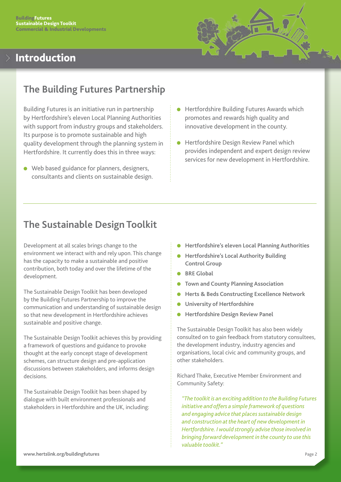# <span id="page-2-0"></span>Introduction



## **The Building Futures Partnership**

Building Futures is an initiative run in partnership by Hertfordshire's eleven Local Planning Authorities with support from industry groups and stakeholders. Its purpose is to promote sustainable and high quality development through the planning system in Hertfordshire. It currently does this in three ways:

- $\bullet$  Web based guidance for planners, designers, consultants and clients on sustainable design.
- Hertfordshire Building Futures Awards which promotes and rewards high quality and innovative development in the county.
- Hertfordshire Design Review Panel which provides independent and expert design review services for new development in Hertfordshire.

## **The Sustainable Design Toolkit**

Development at all scales brings change to the environment we interact with and rely upon. This change has the capacity to make a sustainable and positive contribution, both today and over the lifetime of the development.

The Sustainable Design Toolkit has been developed by the Building Futures Partnership to improve the communication and understanding of sustainable design so that new development in Hertfordshire achieves sustainable and positive change.

The Sustainable Design Toolkit achieves this by providing a framework of questions and guidance to provoke thought at the early concept stage of development schemes, can structure design and pre-application discussions between stakeholders, and informs design decisions.

The Sustainable Design Toolkit has been shaped by dialogue with built environment professionals and stakeholders in Hertfordshire and the UK, including:

- **Hertfordshire's eleven Local Planning Authorities**
- **Hertfordshire's Local Authority Building Control Group**
- **BRE Global**
- **Town and County Planning Association**
- **Herts & Beds Constructing Excellence Network**
- **University of Hertfordshire**
- **Hertfordshire Design Review Panel**

The Sustainable Design Toolkit has also been widely consulted on to gain feedback from statutory consultees, the development industry, industry agencies and organisations, local civic and community groups, and other stakeholders.

Richard Thake, Executive Member Environment and Community Safety:

*"The toolkit is an exciting addition to the Building Futures initiative and offers a simple framework of questions and engaging advice that places sustainable design and construction at the heart of new development in Hertfordshire. I would strongly advise those involved in bringing forward development in the county to use this valuable toolkit."*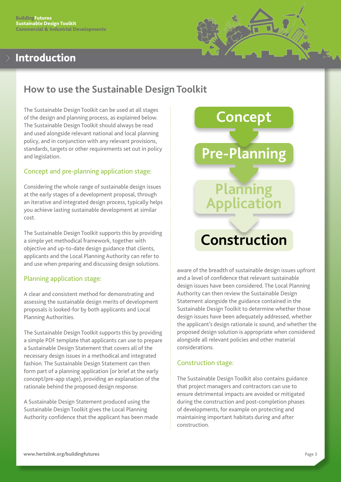## <span id="page-3-0"></span>Introduction



## **How to use the Sustainable Design Toolkit**

The Sustainable Design Toolkit can be used at all stages of the design and planning process, as explained below. The Sustainable Design Toolkit should always be read and used alongside relevant national and local planning policy, and in conjunction with any relevant provisions, standards, targets or other requirements set out in policy and legislation.

## Concept and pre-planning application stage:

Considering the whole range of sustainable design issues at the early stages of a development proposal, through an iterative and integrated design process, typically helps you achieve lasting sustainable development at similar cost.

The Sustainable Design Toolkit supports this by providing a simple yet methodical framework, together with objective and up-to-date design guidance that clients, applicants and the Local Planning Authority can refer to and use when preparing and discussing design solutions.

## Planning application stage:

A clear and consistent method for demonstrating and assessing the sustainable design merits of development proposals is looked-for by both applicants and Local Planning Authorities.

The Sustainable Design Toolkit supports this by providing a simple PDF template that applicants can use to prepare a Sustainable Design Statement that covers all of the necessary design issues in a methodical and integrated fashion. The Sustainable Design Statement can then form part of a planning application (or brief at the early concept/pre-app stage), providing an explanation of the rationale behind the proposed design response.

A Sustainable Design Statement produced using the Sustainable Design Toolkit gives the Local Planning Authority confidence that the applicant has been made



aware of the breadth of sustainable design issues upfront and a level of confidence that relevant sustainable design issues have been considered. The Local Planning Authority can then review the Sustainable Design Statement alongside the guidance contained in the Sustainable Design Toolkit to determine whether those design issues have been adequately addressed, whether the applicant's design rationale is sound, and whether the proposed design solution is appropriate when considered alongside all relevant policies and other material considerations.

## Construction stage:

The Sustainable Design Toolkit also contains guidance that project managers and contractors can use to ensure detrimental impacts are avoided or mitigated during the construction and post-completion phases of developments, for example on protecting and maintaining important habitats during and after construction.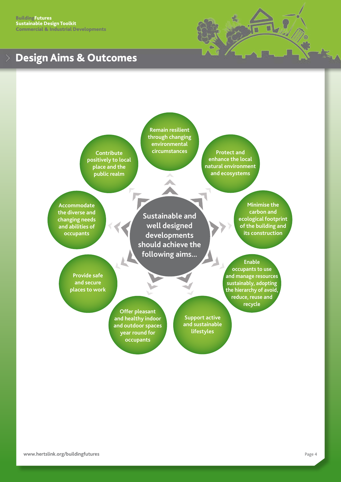<span id="page-4-0"></span>**BuildingFutures** Sustainable Design Toolkit Commercial & Industrial Developments

# Design Aims & Outcomes



**Contribute positively to local place and the public realm**

**Remain resilient through changing environmental** 

**circumstances Protect and enhance the local natural environment and ecosystems**

**Accommodate the diverse and changing needs and abilities of occupants**

**Sustainable and well designed developments should achieve the following aims...**

**Minimise the carbon and ecological footprint of the building and its construction**

**Enable occupants to use and manage resources sustainably, adopting the hierarchy of avoid, reduce, reuse and recycle**

**Provide safe and secure places to work**

> **Offer pleasant and healthy indoor and outdoor spaces year round for occupants**

**Support active and sustainable lifestyles**

**[www.hertslink.org/buildingfutures](http://www.hertslink.org/buildingfutures)**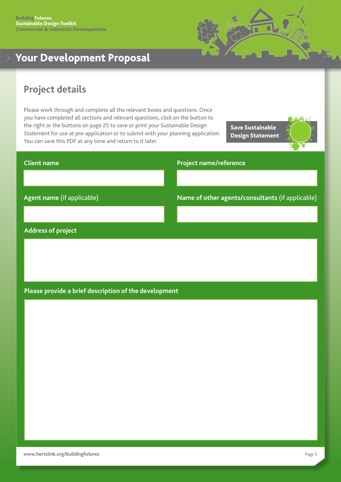

# <span id="page-5-0"></span>Your Development Proposal

## **Project details**

Please work through and complete all the relevant boxes and questions. Once you have completed all sections and relevant questions, click on the button to the right or the buttons on page 25 to save or print your Sustainable Design Statement for use at pre-application or to submit with your planning application. You can save this PDF at any time and return to it later.

Save Sustainable Design Statement



# **Client name Agent name** (if applicable) **Project name/reference Name of other agents/consultants** (if applicable)

#### **Address of project**

## **Please provide a brief description of the development**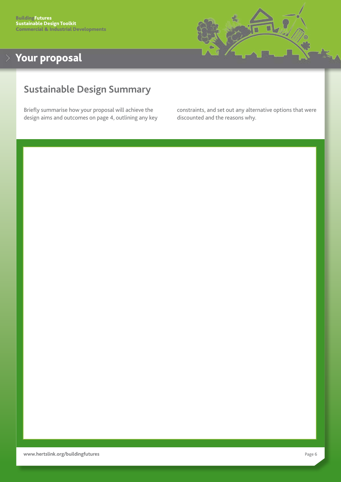

## <span id="page-6-0"></span>**Sustainable Design Summary**

Briefly summarise how your proposal will achieve the design aims and outcomes on page 4, outlining any key constraints, and set out any alternative options that were discounted and the reasons why.

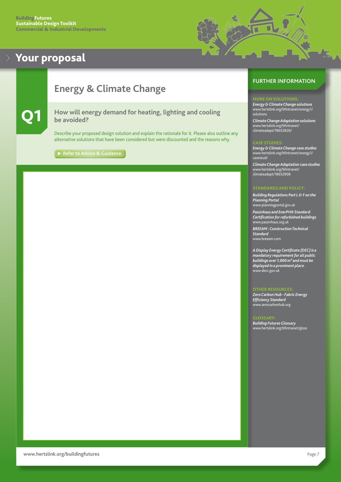

## <span id="page-7-0"></span>**Energy & Climate Change**

#### Q1 **How will energy demand for heating, lighting and cooling be avoided?**

Describe your proposed design solution and explain the rationale for it. Please also outline any alternative solutions that have been considered but were discounted and the reasons why.

**[Refer to Advice & Guidance](#page-26-0)** 

#### **FURTHER INFORMATION**

#### ORE ON SOLUTIONS

*Energy & Climate Change solutions* [www.hertslink.org/bfintranet/energy1/](http://www.hertslink.org/bfintranet/energy1/solutions/) [solutions](http://www.hertslink.org/bfintranet/energy1/solutions/)

*Climate Change Adaptation solutions* [www.hertslink.org/bfintranet/](http://www.hertslink.org/bfintranet/climateadapt/18652826/) [climateadapt/18652826/](http://www.hertslink.org/bfintranet/climateadapt/18652826/)

#### CASE STUDIE:

*Energy & Climate Change case studies* [www.hertslink.org/bfintranet/energy1/](http://www.hertslink.org/bfintranet/energy1/casestud/) [casestud/](http://www.hertslink.org/bfintranet/energy1/casestud/)

*Climate Change Adaptation case studies* [www.hertslink.org/bfintranet/](http://www.hertslink.org/bfintranet/climateadapt/18652908/) [climateadapt/18652908](http://www.hertslink.org/bfintranet/climateadapt/18652908/)

#### **STANDARDS AND POLICY**

*Building Regulations Part L & F on the Planning Portal* [www.planningportal.gov.uk](http://www.planningportal.gov.uk)

*Passivhaus and EnerPHit Standard: Certification for refurbished buildings* [www.passivhaus.org.uk](http://www.passivhaus.org.uk)

*BREEAM : Construction Technical Standard* [www.breeam.c](http://www.breeam.com)om

*A Display Energy Certificate (DEC) is a mandatory requirement for all public buildings over 1,000 m² and must be displayed in a prominent place.*

#### OTHER RESOURCES:

[www.decc.gov.uk](http://www.decc.gov.uk)

*Zero Carbon Hub - Fabric Energy Efficiency Standard* [www.zerocarbonhub.org](http://www.zerocarbonhub.org/)

#### GLOSSARY: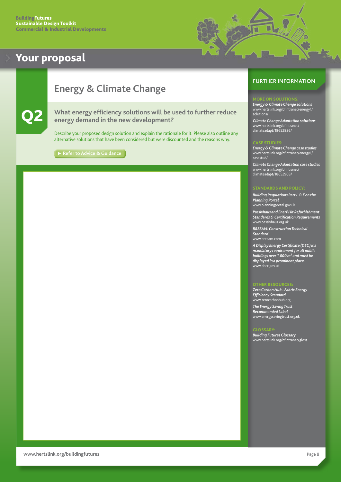

## <span id="page-8-0"></span>**Energy & Climate Change**

#### Q2 **What energy efficiency solutions will be used to further reduce energy demand in the new development?**

Describe your proposed design solution and explain the rationale for it. Please also outline any alternative solutions that have been considered but were discounted and the reasons why.

**► [Refer to Advice & Guidance](#page-27-0)** 

#### **FURTHER INFORMATION**

#### ORE ON SOLUTIONS

*Energy & Climate Change solutions* [www.hertslink.org/bfintranet/energy1/](http://www.hertslink.org/bfintranet/energy1/solutions/) [solutions/](http://www.hertslink.org/bfintranet/energy1/solutions/)

*Climate Change Adaptation solutions* [www.hertslink.org/bfintranet/](http://www.hertslink.org/bfintranet/climateadapt/18652826/?view=Standard) [climateadapt/18652826/](http://www.hertslink.org/bfintranet/climateadapt/18652826/?view=Standard)

*Energy & Climate Change case studies* [www.hertslink.org/bfintranet/energy1/](http://www.hertslink.org/bfintranet/energy1/casestud/?view=Standard) [casestud/](http://www.hertslink.org/bfintranet/energy1/casestud/?view=Standard)

*Climate Change Adaptation case studies* [www.hertslink.org/bfintranet/](http://www.hertslink.org/bfintranet/climateadapt/18652908/) [climateadapt/18652908/](http://www.hertslink.org/bfintranet/climateadapt/18652908/)

#### **STANDARDS AND POLICY**

*Building Regulations Part L & F on the Planning Portal* [www.planningportal.gov.uk](http://www.planningportal.gov.uk)

*Passivhaus and EnerPHit Refurbishment Standards & Certification Requirements* [www.passivhaus.org.uk](http://www.passivhaus.org.uk)

*BREEAM: Construction Technical Standard* [www.breeam.c](http://www.breeam.com)om

*A Display Energy Certificate (DEC) is a mandatory requirement for all public buildings over 1,000 m² and must be displayed in a prominent place.* [www.decc.gov.uk](http://www.decc.gov.uk)

*Zero Carbon Hub - Fabric Energy Efficiency Standard* [www.zerocarbonhub.org](http://www.zerocarbonhub.org)

*The Energy Saving Trust Recommended Label*  [www.energysavingtrust.org.uk](http://www.energysavingtrust.org.uk)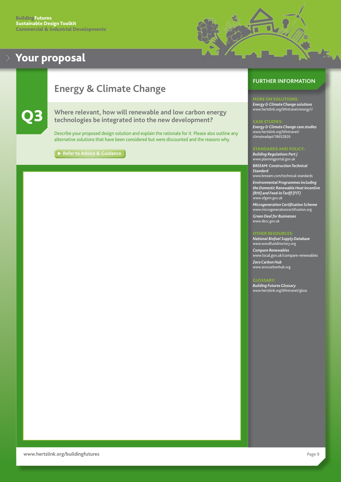

## <span id="page-9-0"></span>**Energy & Climate Change**

# Q3 **Where relevant, how will renewable and low carbon energy**

**technologies be integrated into the new development?**

Describe your proposed design solution and explain the rationale for it. Please also outline any alternative solutions that have been considered but were discounted and the reasons why.

**[Refer to Advice & Guidance](#page-28-0)**

## **FURTHER INFORMATION**

#### ORE ON SOLUTIONS

*Energy & Climate Change solutions* [www.hertslink.org/bfintranet/energy1/](http://www.hertslink.org/bfintranet/energy1/ )

#### CASE STUDIES:

*Energy & Climate Change case studies* [www.hertslink.org/bfintranet/](http://www.hertslink.org/bfintranet/climateadapt/18652826) [climateadapt/18652826](http://www.hertslink.org/bfintranet/climateadapt/18652826)

#### STANDARDS AND POLICY:

*Building Regulations Part J* [www.planningportal.gov.uk](http://www.planningportal.gov.uk) *BREEAM: Construction Technical Standard*

[www.breeam.com/technical-standards](http://www.breeam.com/technical-standards) *Environmental Programmes including the Domestic Renewable Heat Incentive (RHI) and Feed-In Tariff (FIT)* [www.ofgem.gov.uk](http://www.ofgem.gov.uk)

*Microgeneration Certification Scheme* [www.microgenerationcertification.org](http://www.microgenerationcertification.org)

*Green Deal for Businesses* [www.decc.gov.uk](http://www.decc.gov.uk)

#### THER RESOURC

*National Biofuel Supply Database* [www.woodfueldirectory.org](http://www.woodfueldirectory.org/)

*Compare Renewables* [www.local.gov.uk/compare-renewables](http://www.local.gov.uk/compare-renewables) *Zero Carbon Hub* [www.zerocarbonhub.org](http://www.zerocarbonhub.org/)

#### GLOSSARY: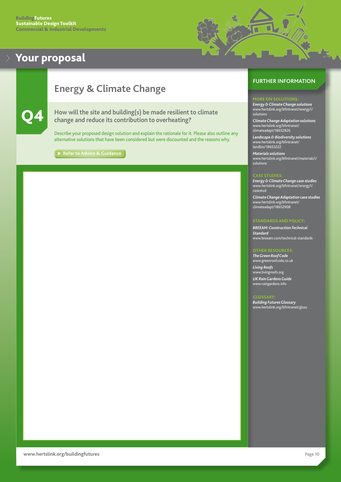

# <span id="page-10-0"></span>**Energy & Climate Change**



#### How will the site and building(s) be made resilient to climate **change and reduce its contribution to overheating?**

Describe your proposed design solution and explain the rationale for it. Please also outline any alternative solutions that have been considered but were discounted and the reasons why.

**[Refer to Advice & Guidance](#page-29-0)**

## **FURTHER INFORMATION**

#### MORE ON SOLUTIONS:

*Energy & Climate Change solutions* [www.hertslink.org/bfintranet/energy1/](http://www.hertslink.org/bfintranet/energy1/solutions) [solutions](http://www.hertslink.org/bfintranet/energy1/solutions)

*Climate Change Adaptation solutions* [www.hertslink.org/bfintranet/](http://www.hertslink.org/bfintranet/climateadapt/18652826)  [climateadapt/18652826](http://www.hertslink.org/bfintranet/climateadapt/18652826)

*Landscape & Biodiversity solutions* [www.hertslink.org/bfintranet/](http://www.hertslink.org/bfintranet/landbio/18653222) [landbio/18653222](http://www.hertslink.org/bfintranet/landbio/18653222)

*Materials solutions*

[www.hertslink.org/bfintranet/materials1/](http://www.hertslink.org/bfintranet/materials1/solutions) [solutions](http://www.hertslink.org/bfintranet/materials1/solutions)

#### **CASE STUDIE**

*Energy & Climate Change case studies* [www.hertslink.org/bfintranet/energy1/](http://www.hertslink.org/bfintranet/energy1/casestud/) [casestud](http://www.hertslink.org/bfintranet/energy1/casestud/)

*Climate Change Adaptation case studies* [www.hertslink.org/bfintranet/](http://www.hertslink.org/bfintranet/climateadapt/18652908) [climateadapt/1](http://www.hertslink.org/bfintranet/climateadapt/18652908)8652908

#### **STANDARDS AND POLICY**

*BREEAM: Construction Technical Standard* [www.breeam.com/technical-standards](http://www.breeam.com/technical-standards)

#### OTHER RESOURCES:

*The Green Roof Code* [www.greenroofcode.co.uk](http://www.greenroofcode.co.uk) *Living Roofs* [www.livingroofs.org](http://www.livingroofs.org) *UK Rain Gardens Guide*  [www.raingardens.info](http://www.raingardens.info)

#### GLOSSARY: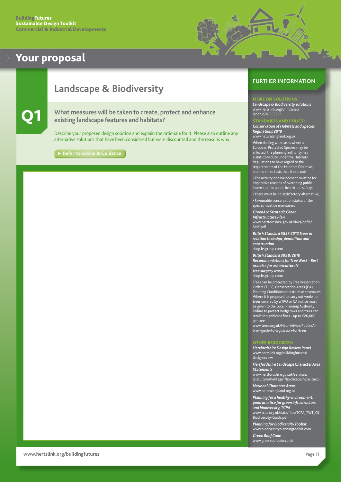

## <span id="page-11-0"></span>**Landscape & Biodiversity**

#### Q1 **What measures will be taken to create, protect and enhance existing landscape features and habitats?**

Describe your proposed design solution and explain the rationale for it. Please also outline any alternative solutions that have been considered but were discounted and the reasons why.

**[Refer to Advice & Guidance](#page-30-0)**

## **FURTHER INFORMATION**

#### ORE ON SOLUTION

*Landscape & Biodiversity solutions* [www.hertslink.org/bfintranet/](http://www.hertslink.org/bfintranet/landbio/18653222) [landbio/18653222](http://www.hertslink.org/bfintranet/landbio/18653222)

#### STANDARDS AND POLICY:

*Conservation of Habitats and Species Regulations 2010* [www.naturalengland.org.uk](http://www.naturalengland.org.uk)

When dealing with cases where a European Protected Species may be affected, the planning authority has a statutory duty under the Habitats Regulations to have regard to the requirements of the Habitats Directive, requirements of the Habitats Dired<br>and the three tests that it sets out

• The activity or development must be for imperative reasons of overriding public interest or for public health and safety;

• There must be no satisfactory alternative;

• Favourable conservation status of the species must be maintain

*GreenArc Strategic Green Infrastructure Plan* [www.hertfordshire.gov.uk/docs/pdf/s/](http://www.hertsdirect.org/docs/pdf/s/SHiP.pdf)

[SHiP.pdf](http://www.hertsdirect.org/docs/pdf/s/SHiP.pdf)

*British Standard 5837:2012 Trees in relation to design, demolition and construction*  [shop.bsigroup.com/](http://shop.bsigroup.com/)

*British Standard 3998: 2010 Recommendations for Tree Work – Best practice for arboricultural/ tree surgery works.* [shop.bsigroup.com/](http://shop.bsigroup.com/)

Trees can be protected by Tree Preservation Orders (TPO), Conservation Areas (CA), Planning Conditions or restrictive covenants. Where it is proposed to carry out works to trees covered by a TPO or CA notice must be given to the Local Planning Authority. Failure to protect hedgerows and trees can result in significant fines - up to £20,000 per tree.

[www.trees.org.uk/Help-Advice/Public/A](http://www.trees.org.uk/Help-Advice/Public/A-brief-guide-to-legislation-for-trees)[brief-guide-to-legislation-for-trees](http://www.trees.org.uk/Help-Advice/Public/A-brief-guide-to-legislation-for-trees)

#### OTHER RESOURCES:

*Hertfordshire Design Review Panel* [www.hertslink.org/buildingfutures/](http://www.hertslink.org/buildingfutures/designreview) [designreview](http://www.hertslink.org/buildingfutures/designreview) *Hertfordshire Landscape Character Area* 

*Statements* [www.hertfordshire.gov.uk/services/](http://www.hertfordshire.gov.uk/services/leisculture/heritage1/landscape/hlca/lcacoll/) [leisculture/heritage1/landscape/hlca/lcacoll](http://www.hertfordshire.gov.uk/services/leisculture/heritage1/landscape/hlca/lcacoll/)

*National Character Areas*  [www.naturalengland.org.uk](http://www.naturalengland.org.uk)

*Planning for a healthy environment: good practice for green infrastructure and biodiversity, TCPA* [www.tcpa.org.uk/data/files/TCPA\\_TWT\\_GI-](http://www.tcpa.org.uk/data/files/TCPA_TWT_GI-Biodiversity-Guide.pdf)[Biodiversity-Guide.pdf](http://www.tcpa.org.uk/data/files/TCPA_TWT_GI-Biodiversity-Guide.pdf)

*Planning for Biodiversity Toolkit* [www.biodiversityplanningtoolkit.com](http://www.biodiversityplanningtoolkit.com/)

*Green Roof Code* [www.greenroofcode.co.uk](http://www.greenroofcode.co.uk)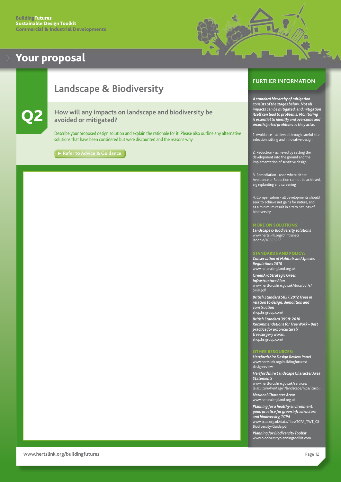

## <span id="page-12-0"></span>**Landscape & Biodiversity**



## Q2 **How will any impacts on landscape and biodiversity be avoided or mitigated?**

Describe your proposed design solution and explain the rationale for it. Please also outline any alternative solutions that have been considered but were discounted and the reasons why.

**[Refer to Advice & Guidance](#page-31-0)**

#### **FURTHER INFORMATION**

*A standard hierarchy of mitigation consists of the stages below. Not all impacts can be mitigated, and mitigation itself can lead to problems. Monitoring is essential to identify and overcome and unanticipated problems as they arise.*

1. Avoidance - achieved through careful site selection, sitting and innovative design

2. Reduction - achieved by setting the development into the ground and the implementation of sensitive design

3. Remediation - used where either Avoidance or Reduction cannot be achieved, e.g replanting and screening

4. Compensation - all developments should seek to achieve net gains for nature, and as a minimum result in a zero net loss of biodiversity

#### MORE ON SOLUTIONS:

*Landscape & Biodiversity solutions* [www.hertslink.org/bfintranet/](http://www.hertslink.org/bfintranet/landbio/18653222) [landbio/18](http://www.hertslink.org/bfintranet/landbio/18653222)653222

#### STANDARDS AND POLICY:

*Conservation of Habitats and Species Regulations 2010* [www.naturalengland.org.uk](http://www.naturalengland.org.uk)  *GreenArc Strategic Green Infrastructure Plan* [www.hertfordshire.gov.uk/docs/pdf/s/](http://www.hertsdirect.org/docs/pdf/s/SHiP.pdf) [SHiP.pdf](http://www.hertsdirect.org/docs/pdf/s/SHiP.pdf)

*British Standard 5837:2012 Trees in relation to design, demolition and construction*  [shop.bsigroup.com/](http://shop.bsigroup.com/)

*British Standard 3998: 2010 Recommendations for Tree Work – Best practice for arboricultural/ tree surgery works.* [shop.bsigroup.com/](http://shop.bsigroup.com/)

#### OTHER RESOURCES:

*Hertfordshire Design Review Panel* [www.hertslink.org/buildingfutures/](http://www.hertslink.org/buildingfutures/designreview) [designreview](http://www.hertslink.org/buildingfutures/designreview) *Hertfordshire Landscape Character Area Statements* [www.hertfordshire.gov.uk/services/](http://www.hertfordshire.gov.uk/services/leisculture/heritage1/landscape/hlca/lcacoll) [leisculture/heritage1/landscape/hlca/lcacoll](http://www.hertfordshire.gov.uk/services/leisculture/heritage1/landscape/hlca/lcacoll) *National Character Areas* 

[www.naturalengland.org.uk](http://www.naturalengland.org.uk)

*Planning for a healthy environment: good practice for green infrastructure and biodiversity, TCPA* [www.tcpa.org.uk/data/files/TCPA\\_TWT\\_GI-](http://www.tcpa.org.uk/data/files/TCPA_TWT_GI-Biodiversity-Guide.pdf)[Biodiversity-Guide.pdf](http://www.tcpa.org.uk/data/files/TCPA_TWT_GI-Biodiversity-Guide.pdf)

*Planning for Biodiversity Toolkit* [www.biodiversityplanningtoolkit.com](http://www.biodiversityplanningtoolkit.com/)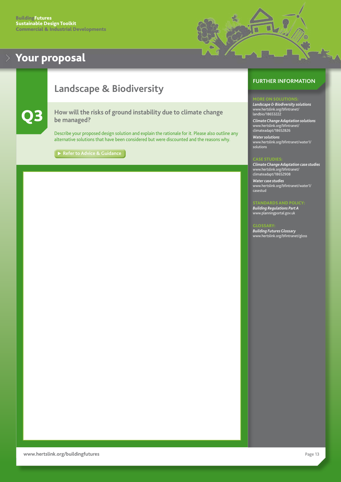

## <span id="page-13-0"></span>**Landscape & Biodiversity**

## Q3 **How will the risks of ground instability due to climate change be managed?**

Describe your proposed design solution and explain the rationale for it. Please also outline any alternative solutions that have been considered but were discounted and the reasons why.

**► [Refer to Advice & Guidance](#page-31-0)** 

#### **FURTHER INFORMATION**

*Landscape & Biodiversity solutions* [www.hertslink.org/bfintranet/](http://www.hertslink.org/bfintranet/climateadapt/18652826) [landbio/18653222](http://www.hertslink.org/bfintranet/climateadapt/18652826)

*Climate Change Adaptation solutions* [www.hertslink.org/bfintranet/](http://www.hertslink.org/bfintranet/climateadapt/18652826) [climateadapt/18652826](http://www.hertslink.org/bfintranet/climateadapt/18652826)

*Water solutions* [www.hertslink.org/bfintranet/water1/](http://www.hertslink.org/bfintranet/water1/solutions) [solutions](http://www.hertslink.org/bfintranet/water1/solutions)

#### CASE STUDIES

*Climate Change Adaptation case studies* [www.hertslink.org/bfintranet/](http://www.hertslink.org/bfintranet/climateadapt/18652908) [climateadapt/1](http://www.hertslink.org/bfintranet/climateadapt/18652908)8652908

*Water case studies* [www.hertslink.org/bfintranet/water1/](http://www.hertslink.org/bfintranet/water1/casestud/) [casestud](http://www.hertslink.org/bfintranet/water1/casestud/)

#### STANDARDS AND POLICY:

*Building Regulations Part A* [www.planningportal.gov.uk](http://www.planningportal.gov.uk)

#### GLOSSARY: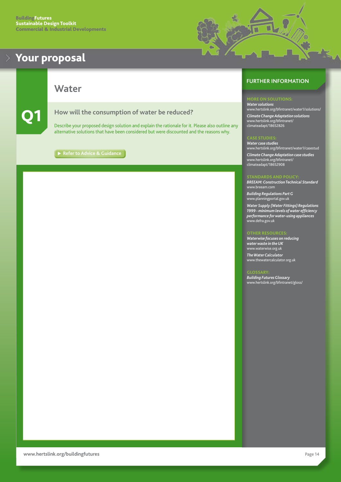

<span id="page-14-0"></span>**Water**



#### Q1 **How will the consumption of water be reduced?**

Describe your proposed design solution and explain the rationale for it. Please also outline any alternative solutions that have been considered but were discounted and the reasons why.

**[Refer to Advice & Guidance](#page-32-0)**

#### **FURTHER INFORMATION**

*Water solutions* [www.hertslink.org/bfintranet/water1/solutions/](http://www.hertslink.org/bfintranet/water1/solutions/) *Climate Change Adaptation solutions* [www.hertslink.org/bfintranet/](http://www.hertslink.org/bfintranet/climateadapt/18652826) [climateadapt/18652](http://www.hertslink.org/bfintranet/climateadapt/18652826)826

#### CASE STUDIES:

*Water case studies* [www.hertslink.org/bfintranet/water1/casestud](http://www.hertslink.org/bfintranet/water1/casestud) *Climate Change Adaptation case studies* [www.hertslink.org/bfintranet/](http://www.hertslink.org/bfintranet/climateadapt/18652908) [climateadapt/](http://www.hertslink.org/bfintranet/climateadapt/18652908)18652908

#### STANDARDS AND POLICY:

*BREEAM: Construction Technical Standard* [www.breeam.](http://www.breeam.com)com

*Building Regulations Part G* [www.planningportal.gov.uk](http://www.planningportal.gov.uk)

*Water Supply (Water Fittings) Regulations 1999 - minimum levels of water efficiency performance for water-using appliances* [www.defra.gov.uk](http://www.defra.gov.uk)

*Waterwise focuses on reducing water waste in the UK* [www.waterwise.org.uk](http://www.waterwise.org.uk)

*The Water Calculator* [www.thewatercalculator.org.uk](http://www.thewatercalculator.org.uk)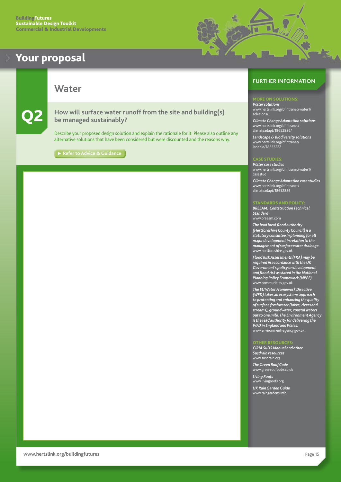<span id="page-15-0"></span>

**Water**

Q2 **How will surface water runoff from the site and building(s) be managed sustainably?**

Describe your proposed design solution and explain the rationale for it. Please also outline any alternative solutions that have been considered but were discounted and the reasons why.

**[Refer to Advice & Guidance](#page-33-0)**

## **FURTHER INFORMATION**

۳

*Water solutions* [www.hertslink.org/bfintranet/water1/](http://www.hertslink.org/bfintranet/water1/solutions/) [solutions/](http://www.hertslink.org/bfintranet/water1/solutions/)

*Climate Change Adaptation solutions* [www.hertslink.org/bfintranet/](http://www.hertslink.org/bfintranet/climateadapt/18652826/) [climateadapt/18652826/](http://www.hertslink.org/bfintranet/climateadapt/18652826/)

*Landscape & Biodiversity solutions* [www.hertslink.org/bfintranet/](http://www.hertslink.org/bfintranet/landbio/18653222) [landbio/18653222](http://www.hertslink.org/bfintranet/landbio/18653222)

#### CASE STUDIES

*Water case studies* [www.hertslink.org/bfintranet/water1/](http://www.hertslink.org/bfintranet/water1/casestud) [casestud](http://www.hertslink.org/bfintranet/water1/casestud) *Climate Change Adaptation case studies* [www.hertslink.org/bfintranet/](http://www.hertslink.org/bfintranet/climateadapt/18652826) [climateadapt/1](http://www.hertslink.org/bfintranet/climateadapt/18652826)8652826

#### STANDARDS AND POLICY:

*BREEAM: Contstruction Technical Standard* [www.breeam.c](http://www.breeam.org)om

*The lead local flood authority (Hertfordshire County Council) is a statutory consultee in planning for all major development in relation to the management of surface water drainage.* [www.hertfordshire.gov.uk](http://www.hertsdirect.org)

*Flood Risk Assessments (FRA) may be required in accordance with the UK Government's policy on development and flood risk as stated in the National Planning Policy Framework (NPPF)* [www.communities.gov.uk](http://www.communities.gov.uk)

*The EU Water Framework Directive (WFD) takes an ecosystems approach to protecting and enhancing the quality of surface freshwater (lakes, rivers and streams), groundwater, coastal waters out to one mile. The Environment Agency is the lead authority for delivering the WFD in England and Wales.*  [www.environment-agency.gov.uk](http://www.environment-agency.gov.uk)

#### OTHER RESOURCES:

*CIRIA SuDS Manual and other Susdrain resources* [www.susdrain.org](http://www.susdrain.org) *The Green Roof Code* [www.greenroofcode.co.uk](http://www.greenroofcode.co.uk) *Living Roofs* [www.livingroofs.org](http://www.livingroofs.org)  *UK Rain Garden Guide* [www.raingardens.info](http://www.raingardens.info)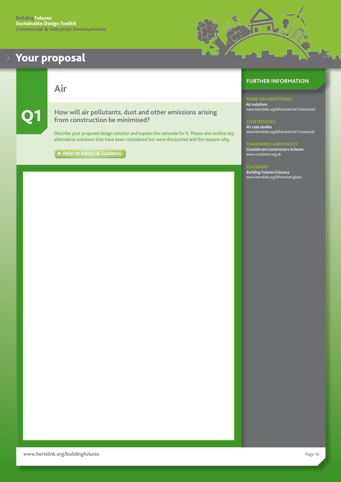<span id="page-16-0"></span>**Air**

Q1 **How will air pollutants, dust and other emissions arising from construction be minimised?**

Describe your proposed design solution and explain the rationale for it. Please also outline any alternative solutions that have been considered but were discounted and the reasons why.

[Refer to Advice & Guidance](#page-34-0)

## **FURTHER INFORMATION**

*Air solutions*

[www.hertslink.org/bfintranet/air1/solutions/](http://www.hertslink.org/bfintranet/air1/solutions/)

*Air case studies* [www.hertslink.org/bfintranet/air1/casestud/](http://www.hertslink.org/bfintranet/air1/casestud/)

**SNDARDS AND POLIC** *Considerate Constructors Scheme* [www.ccscheme.org.uk](http://www.ccscheme.org.uk)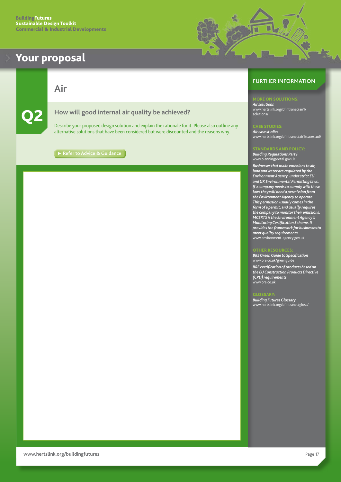<span id="page-17-0"></span>

**Air**



#### Q2 **How will good internal air quality be achieved?**

Describe your proposed design solution and explain the rationale for it. Please also outline any alternative solutions that have been considered but were discounted and the reasons why.

**[Refer to Advice & Guidance](#page-34-0)**

## **FURTHER INFORMATION**

#### **TORE ON SOLUTIONS:**

*Air solutions* [www.hertslink.org/bfintranet/air1/](http://www.hertslink.org/bfintranet/air1/solutions/) [solutions/](http://www.hertslink.org/bfintranet/air1/solutions/)

۳

*Air case studies* [www.hertslink.org/bfintranet/air1/casestud/](http://www.hertslink.org/bfintranet/air1/casestud/)

#### STANDARDS AND POLICY:

*Building Regulations Part F* [www.planningportal.gov.uk](http://www.planningportal.gov.uk)

*Businesses that make emissions to air, land and water are regulated by the Environment Agency, under strict EU and UK Environmental Permitting laws. If a company needs to comply with these laws they will need a permission from the Environment Agency to operate. This permission usually comes in the form of a permit, and usually requires the company to monitor their emissions. MCERTS is the Environment Agency's Monitoring Certification Scheme. It provides the framework for businesses to meet quality requirements.* [www.environment-agency.gov.uk](http://www.environment-agency.gov.uk)

#### OTHER RESOURCES:

*BRE Green Guide to Specification* [www.bre.co.uk/greenguide](http://www.bre.co.uk/greenguide)

*BRE certification of products based on the EU Construction Products Directive (CPD) requirements* [www.bre.co.uk](http://www.bre.co.uk)

#### GLOSSARY: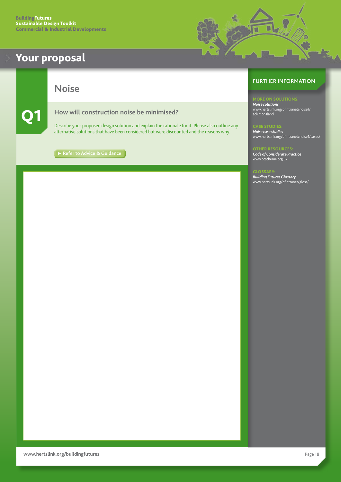

<span id="page-18-0"></span>**Noise**

## Q1 **How will construction noise be minimised?**

Describe your proposed design solution and explain the rationale for it. Please also outline any alternative solutions that have been considered but were discounted and the reasons why.

[Refer to Advice & Guidance](#page-35-0)

## **FURTHER INFORMATION**

MORE ON SOLUTIONS:

*Noise solutions* [www.hertslink.org/bfintranet/noise1/](http://www.hertslink.org/bfintranet/noise1/solutionsland) [solutionsland](http://www.hertslink.org/bfintranet/noise1/solutionsland)

CASE STUDIES: *Noise case studies* [www.hertslink.org/bfintranet/noise1/cases/](http://www.hertslink.org/bfintranet/noise1/cases/)

OTHER RESOURCES: *Code of Considerate Practice*  [www.ccscheme.org.uk](http://www.ccscheme.org.uk)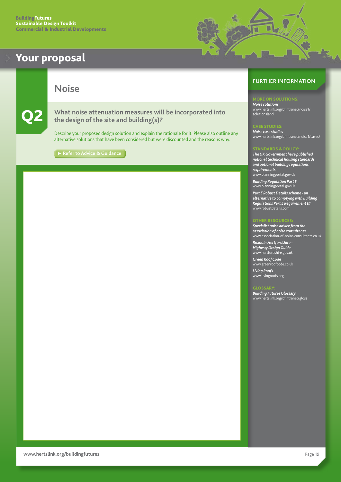<span id="page-19-0"></span>

**Noise**

Q2 **What noise attenuation measures will be incorporated into the design of the site and building(s)?**

Describe your proposed design solution and explain the rationale for it. Please also outline any alternative solutions that have been considered but were discounted and the reasons why.

**► [Refer to Advice & Guidance](#page-35-0)** 

## **FURTHER INFORMATION**

*Noise solutions* [www.hertslink.org/bfintranet/noise1/](http://www.hertslink.org/bfintranet/noise1/solutionsland) [solutionsland](http://www.hertslink.org/bfintranet/noise1/solutionsland)

E STUDI

u

*Noise case studies* [www.hertslink.org/bfintranet/noise1/cases/](http://www.hertslink.org/bfintranet/noise1/cases/)

#### STANDARDS & POLICY:

*The UK Government have published national technical housing standards and optional building regulations requirements* [www.planningportal.gov.uk](http://www.planningportal.gov.uk)

*Building Regulation Part E*  [www.planningportal.gov.uk](http://www.planningportal.gov.uk)

*Part E Robust Details scheme - an alternative to complying with Building Regulations Part E Requirement E1*  [www.robustdetails.com](http://www.robustdetails.com)

#### **OTHER RESOU**

*Specialist noise advice from the association of noise consultants*  [www.association-of-noise-consultants.co.uk](http://www.association-of-noise-consultants.co.uk)

*Roads in Hertfordshire - Highway Design Guide*  [www.hertfordshire.gov.uk](http://www.hertsdirect.org)

*Green Roof Code*  [www.greenroofcode.co.uk](http://www.greenroofcode.co.uk)

*Living Roofs*  [www.livingroofs.org](http://www.livingroofs.org)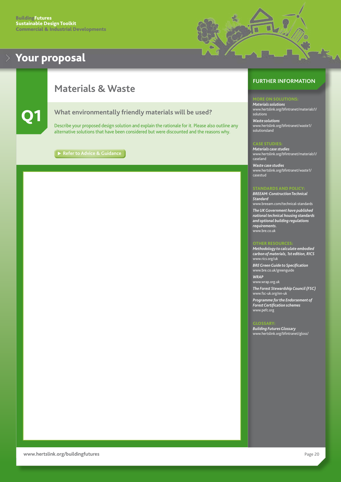

## <span id="page-20-0"></span>**Materials & Waste**



Q1 **What environmentally friendly materials will be used?**

Describe your proposed design solution and explain the rationale for it. Please also outline any alternative solutions that have been considered but were discounted and the reasons why.

**[Refer to Advice & Guidance](#page-36-0)**

#### **FURTHER INFORMATION**

#### ORE ON SOLUTIONS:

*Materials solutions* [www.hertslink.org/bfintranet/materials1/](http://www.hertslink.org/bfintranet/materials1/solutions/) [solutions](http://www.hertslink.org/bfintranet/materials1/solutions/)

*Waste solutions* [www.hertslink.org/bfintranet/waste1/](http://www.hertslink.org/bfintranet/waste1/solutionsland/) [solutionsland](http://www.hertslink.org/bfintranet/waste1/solutionsland/)

#### CASE STUDIES:

*Materials case studies* [www.hertslink.org/bfintranet/materials1/](http://www.hertslink.org/bfintranet/materials1/caseland) [caseland](http://www.hertslink.org/bfintranet/materials1/caseland)

*Waste case studies* [www.hertslink.org/bfintranet/waste1/](http://www.hertslink.org/bfintranet/waste1/casestud) [casestud](http://www.hertslink.org/bfintranet/waste1/casestud)

#### **ANDARDS AND POLICY**

*BREEAM: Construction Technical Standard* [www.breeam.com/technical-standards](http://www.breeam.com/technical-standards)

*The UK Government have published national technical housing standards and optional building regulations requirements.* [www.bre.co.uk](http://www.bre.co.uk)

#### **THER RESOURCE**

*Methodology to calculate embodied carbon of materials, 1st edition, RICS* [www.rics.org/uk](http://www.rics.org/uk/)

*BRE Green Guide to Specification*  [www.bre.co.uk/greenguide](http://www.bre.co.uk/greenguide)

*WRAP*  [www.wrap.org.uk](http://www.wrap.org.uk)

*The Forest Stewardship Council (FSC)*  [www.fsc-uk.o](http://www.fsc-uk.org/en-uk)rg/en-uk

*Programme for the Endorsement of Forest Certification schemes*  [www.pefc.org](http://www.pefc.org) 

#### GLOSSARY: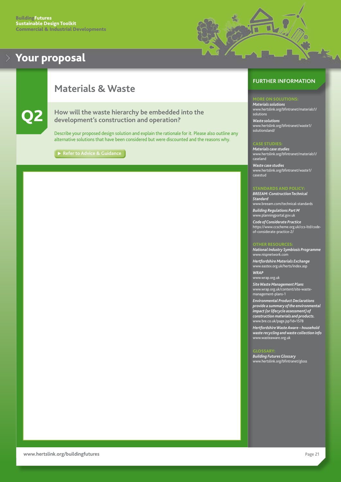

## <span id="page-21-0"></span>**Materials & Waste**



Q2 **How will the waste hierarchy be embedded into the development's construction and operation?** 

Describe your proposed design solution and explain the rationale for it. Please also outline any alternative solutions that have been considered but were discounted and the reasons why.

**[Refer to Advice & Guidance](#page-36-0)** 

#### **FURTHER INFORMATION**

#### ORE ON SOLUTIONS:

*Materials solutions* [www.hertslink.org/bfintranet/materials1/](http://www.hertslink.org/bfintranet/materials1/solutions) [solutions](http://www.hertslink.org/bfintranet/materials1/solutions)

*Waste solutions* [www.hertslink.org/bfintranet/waste1/](http://www.hertslink.org/bfintranet/waste1/solutionsland/) [solutionsland/](http://www.hertslink.org/bfintranet/waste1/solutionsland/)

#### CASE STUDIES:

*Materials case studies* [www.hertslink.org/bfintranet/materials1/](http://www.hertslink.org/bfintranet/materials1/caseland) [caseland](http://www.hertslink.org/bfintranet/materials1/caseland)

*Waste case studies* [www.hertslink.org/bfintranet/waste1/](http://www.hertslink.org/bfintranet/waste1/casestud) [casestud](http://www.hertslink.org/bfintranet/waste1/casestud)

#### **ANDARDS AND POLICY**

*BREEAM: Construction Technical Standard* [www.breeam.com/technical-standards](http://www.breeam.com/technical-standards)

*Building Regulations Part M* [www.planningportal.gov.uk](http://www.planningportal.gov.uk)

*Code of Considerate Practice*  [https://www.ccscheme.org.uk/ccs-ltd/code](https://www.ccscheme.org.uk/ccs-ltd/code-of-considerate-practice-2/)[of-considerate-practice-2/](https://www.ccscheme.org.uk/ccs-ltd/code-of-considerate-practice-2/)

#### OTHER RESOURCES:

*National Industry Symbiosis Programme*  [www.nispnetwork.com](http://www.nispnetwork.com)

*Hertfordshire Materials Exchange*  [www.eastex.org.uk/herts/index.asp](http://www.eastex.org.uk/herts/index.asp)

*WRAP*  [www.wrap.org.uk](http://www.wrap.org.uk)

*Site Waste Management Plans*  [www.wrap.org.uk/content/site-waste](http://www.wrap.org.uk/content/site-waste-management-plans-1)[management-plans-1](http://www.wrap.org.uk/content/site-waste-management-plans-1)

*Environmental Product Declarations provide a summary of the environmental impact (or lifecycle assessment) of construction materials and products.* [www.bre.co.uk/page.jsp?id=1578](http://www.bre.co.uk/page.jsp?id=1578)

*Hertfordshire Waste Aware – household waste recycling and waste collection info* [www.wasteaware.org.uk](http://www.wasteaware.org.uk) 

#### GLOSSARY: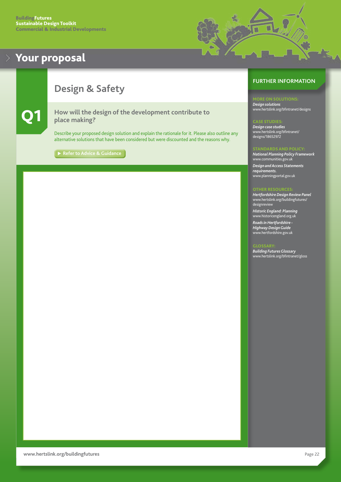

## <span id="page-22-0"></span>**Design & Safety**



Q1 **How will the design of the development contribute to place making?**

Describe your proposed design solution and explain the rationale for it. Please also outline any alternative solutions that have been considered but were discounted and the reasons why.

**[Refer to Advice & Guidance](#page-37-0)** 

#### **FURTHER INFORMATION**

*Design solutions* [www.hertslink.org/bfintranet/designs](http://www.hertslink.org/bfintranet/designs)

#### CASE STUDIES:

*Design case studies* [www.hertslink.org/bfintranet/](http://www.hertslink.org/bfintranet/designs/18652972) [designs/18652972](http://www.hertslink.org/bfintranet/designs/18652972)

#### STANDARDS AND POLICY:

*National Planning Policy Framework* [www.communities.gov.uk](http://www.communities.gov.uk) *Design and Access Statements requirements.* 

[www.planningportal.gov.uk](http://www.planningportal.gov.uk)

#### OTHER RESOURCES:

*Hertfordshire Design Review Panel* [www.hertslink.org/buildingfutures/](http://www.hertslink.org/buildingfutures/designreview) [designr](http://www.hertslink.org/buildingfutures/designreview)eview

*Historic England: Planning* [www.h](http://www.historicengland.org.uk)istoricengland.org.uk

*Roads in Hertfordshire - Highway Design Guide* [www.hertfordshire.gov.uk](http://www.hertsdirect.org)

#### **GLOSSARY**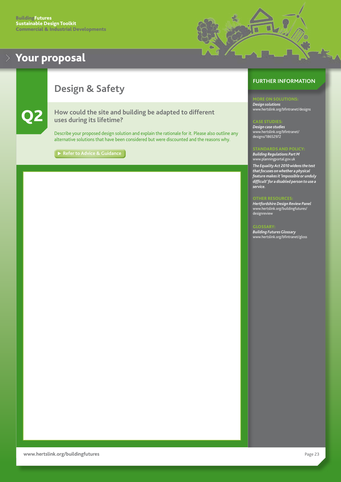

## <span id="page-23-0"></span>**Design & Safety**



Q2 **How could the site and building be adapted to different uses during its lifetime?**

Describe your proposed design solution and explain the rationale for it. Please also outline any alternative solutions that have been considered but were discounted and the reasons why.

[Refer to Advice & Guidance](#page-38-0)

## **FURTHER INFORMATION**

*Design solutions* [www.hertslink.org/bfintranet/designs](http://www.hertslink.org/bfintranet/designs)

#### CASE STUDIES:

*Design case studies* [www.hertslink.org/bfintranet/](http://www.hertslink.org/bfintranet/designs/18652972) [designs/18652972](http://www.hertslink.org/bfintranet/designs/18652972)

#### STANDARDS AND POLICY:

*Building Regulations Part M* [www.planningportal.gov.uk](http://www.planningportal.gov.uk) 

*The Equality Act 2010 widens the test that focuses on whether a physical feature makes it 'impossible or unduly difficult' for a disabled person to use a service.*

#### **THER RESOURCE**

*Hertfordshire Design Review Panel* [www.hertslink.org/buildingfutures/](http://www.hertslink.org/buildingfutures/designreview) designreview

#### GLOSSARY: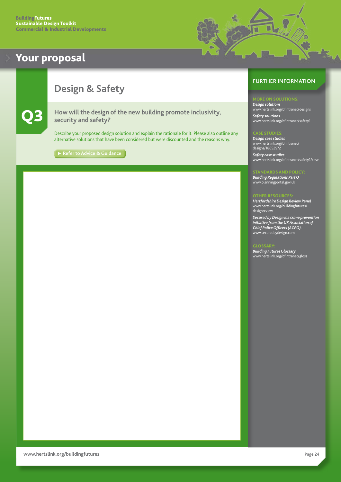

## <span id="page-24-0"></span>**Design & Safety**



How will the design of the new building promote inclusivity, **security and safety?**

Describe your proposed design solution and explain the rationale for it. Please also outline any alternative solutions that have been considered but were discounted and the reasons why.

**[Refer to Advice & Guidance](#page-38-0)** 

## **FURTHER INFORMATION**

*Design solutions* [www.hertslink.org/bfintranet/designs](http://www.hertslink.org/bfintranet/designs) *Safety solutions* [www.hertslink.org/bfintranet/safety1](http://www.hertslink.org/bfintranet/safety1)

*Design case studies* [www.hertslink.org/bfintranet/](http://www.hertslink.org/bfintranet/designs/18652972) [designs/18652972](http://www.hertslink.org/bfintranet/designs/18652972) *Safety case studies* [www.hertslink.org/bfintranet/safety1/case](http://www.hertslink.org/bfintranet/safety1/case)

**ANDARDS AND POLICY** *Building Regulations Part Q* [www.planningportal.gov.uk](http://www.planningportal.gov.uk) 

#### OTHER RESOURCES:

*Hertfordshire Design Review Panel* [www.hertslink.org/buildingfutures/](http://www.hertslink.org/buildingfutures/designreview) [designreview](http://www.hertslink.org/buildingfutures/designreview)

*Secured by Design is a crime prevention initiative from the UK Association of Chief Police Officers (ACPO).* [www.securedbydesign.com](http://www.securedbydesign.com)

#### **GLOSSARY**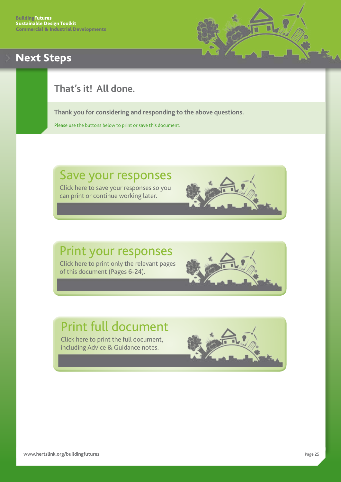## <span id="page-25-0"></span>Next Steps



## **That's it! All done.**

**Thank you for considering and responding to the above questions.**

Please use the buttons below to print or save this document.

# Save your responses

Click here to save your responses so you can print or continue working later.

# Print your responses Click here to print only the relevant pages

of this document (Pages 6-24).

# Print full document

Click here to print the full document, including Advice & Guidance notes.

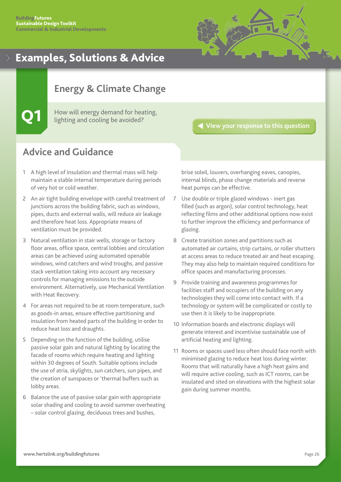

## <span id="page-26-0"></span>**Energy & Climate Change**

How will energy demand for heating, lighting and cooling be avoided?

#### **[View your response to this question](#page-7-0)**

## **Advice and Guidance**

- 1 A high level of insulation and thermal mass will help maintain a stable internal temperature during periods of very hot or cold weather.
- 2 An air tight building envelope with careful treatment of junctions across the building fabric, such as windows, pipes, ducts and external walls, will reduce air leakage and therefore heat loss. Appropriate means of ventilation must be provided.
- 3 Natural ventilation in stair wells, storage or factory floor areas, office space, central lobbies and circulation areas can be achieved using automated openable windows, wind catchers and wind troughs, and passive stack ventilation taking into account any necessary controls for managing emissions to the outside environment. Alternatively, use Mechanical Ventilation with Heat Recovery.
- 4 For areas not required to be at room temperature, such as goods-in areas, ensure effective partitioning and insulation from heated parts of the building in order to reduce heat loss and draughts.
- 5 Depending on the function of the building, utilise passive solar gain and natural lighting by locating the facade of rooms which require heating and lighting within 30 degrees of South. Suitable options include the use of atria, skylights, sun catchers, sun pipes, and the creation of sunspaces or 'thermal buffers such as lobby areas.
- 6 Balance the use of passive solar gain with appropriate solar shading and cooling to avoid summer overheating – solar control glazing, deciduous trees and bushes,

brise soleil, louvers, overhanging eaves, canopies, internal blinds, phase change materials and reverse heat pumps can be effective.

- 7 Use double or triple glazed windows inert gas filled (such as argon), solar control technology, heat reflecting films and other additional options now exist to further improve the efficiency and performance of glazing.
- 8 Create transition zones and partitions such as automated air curtains, strip curtains, or roller shutters at access areas to reduce treated air and heat escaping. They may also help to maintain required conditions for office spaces and manufacturing processes.
- 9 Provide training and awareness programmes for facilities staff and occupiers of the building on any technologies they will come into contact with. If a technology or system will be complicated or costly to use then it is likely to be inappropriate.
- 10 Information boards and electronic displays will generate interest and incentivise sustainable use of artificial heating and lighting.
- 11 Rooms or spaces used less often should face north with minimised glazing to reduce heat loss during winter. Rooms that will naturally have a high heat gains and will require active cooling, such as ICT rooms, can be insulated and sited on elevations with the highest solar gain during summer months.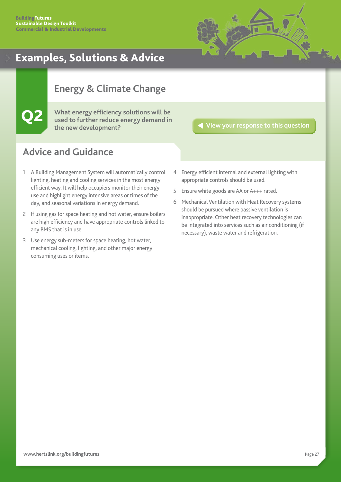

## <span id="page-27-0"></span>**Energy & Climate Change**

Q2 **What energy efficiency solutions will be used to further reduce energy demand in the new development?**

**[View your response to this question](#page-8-0)**

- 1 A Building Management System will automatically control lighting, heating and cooling services in the most energy efficient way. It will help occupiers monitor their energy use and highlight energy intensive areas or times of the day, and seasonal variations in energy demand.
- 2 If using gas for space heating and hot water, ensure boilers are high efficiency and have appropriate controls linked to any BMS that is in use.
- 3 Use energy sub-meters for space heating, hot water, mechanical cooling, lighting, and other major energy consuming uses or items.
- 4 Energy efficient internal and external lighting with appropriate controls should be used.
- 5 Ensure white goods are AA or A+++ rated.
- 6 Mechanical Ventilation with Heat Recovery systems should be pursued where passive ventilation is inappropriate. Other heat recovery technologies can be integrated into services such as air conditioning (if necessary), waste water and refrigeration.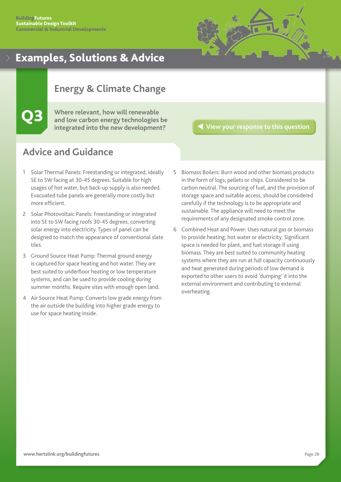

## <span id="page-28-0"></span>**Energy & Climate Change**

Q3 **Where relevant, how will renewable and low carbon energy technologies be integrated into the new development?**

**[View your response to this question](#page-9-0)**

- 1 Solar Thermal Panels: Freestanding or integrated, ideally SE to SW facing at 30-45 degrees. Suitable for high usages of hot water, but back-up supply is also needed. Evacuated tube panels are generally more costly but more efficient.
- 2 Solar Photovoltaic Panels: Freestanding or integrated into SE to SW facing roofs 30-45 degrees, converting solar energy into electricity. Types of panel can be designed to match the appearance of conventional slate tiles.
- 3 Ground Source Heat Pump: Thermal ground energy is captured for space heating and hot water. They are best suited to underfloor heating or low temperature systems, and can be used to provide cooling during summer months. Require sites with enough open land.
- 4 Air Source Heat Pump: Converts low grade energy from the air outside the building into higher grade energy to use for space heating inside.
- 5 Biomass Boilers: Burn wood and other biomass products in the form of logs, pellets or chips. Considered to be carbon neutral. The sourcing of fuel, and the provision of storage space and suitable access, should be considered carefully if the technology is to be appropriate and sustainable. The appliance will need to meet the requirements of any designated smoke control zone.
- 6 Combined Heat and Power: Uses natural gas or biomass to provide heating, hot water or electricity. Significant space is needed for plant, and fuel storage if using biomass. They are best suited to community heating systems where they are run at full capacity continuously and heat generated during periods of low demand is exported to other users to avoid 'dumping' it into the external environment and contributing to external overheating.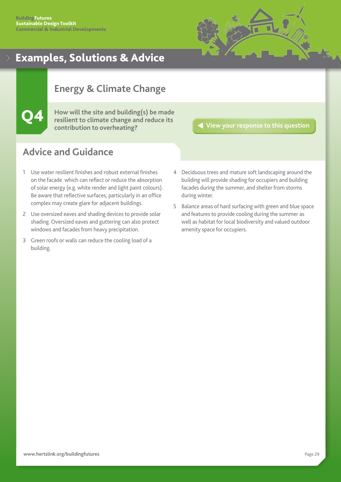

## <span id="page-29-0"></span>**Energy & Climate Change**

Q4 **How will the site and building(s) be made resilient to climate change and reduce its contribution to overheating?**

**[View your response to this question](#page-10-0)**

- 1 Use water resilient finishes and robust external finishes on the facade which can reflect or reduce the absorption of solar energy (e.g. white render and light paint colours). Be aware that reflective surfaces, particularly in an office complex may create glare for adjacent buildings.
- 2 Use oversized eaves and shading devices to provide solar shading. Oversized eaves and guttering can also protect windows and facades from heavy precipitation.
- 3 Green roofs or walls can reduce the cooling load of a building.
- 4 Deciduous trees and mature soft landscaping around the building will provide shading for occupiers and building facades during the summer, and shelter from storms during winter.
- 5 Balance areas of hard surfacing with green and blue space and features to provide cooling during the summer as well as habitat for local biodiversity and valued outdoor amenity space for occupiers.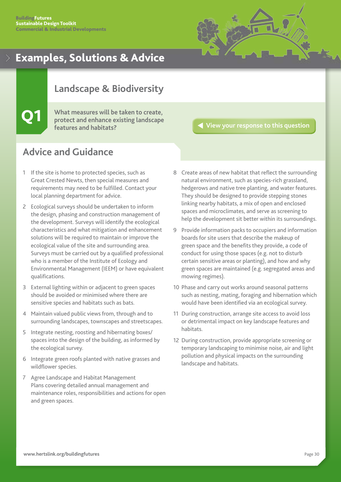![](_page_30_Figure_1.jpeg)

## <span id="page-30-0"></span>**Landscape & Biodiversity**

## Q1 **What measures will be taken to create, protect and enhance existing landscape features and habitats?**

## **[View your response to this question](#page-11-0)**

- 1 If the site is home to protected species, such as Great Crested Newts, then special measures and requirements may need to be fulfilled. Contact your local planning department for advice.
- 2 Ecological surveys should be undertaken to inform the design, phasing and construction management of the development. Surveys will identify the ecological characteristics and what mitigation and enhancement solutions will be required to maintain or improve the ecological value of the site and surrounding area. Surveys must be carried out by a qualified professional who is a member of the Institute of Ecology and Environmental Management (IEEM) or have equivalent qualifications.
- 3 External lighting within or adjacent to green spaces should be avoided or minimised where there are sensitive species and habitats such as bats.
- 4 Maintain valued public views from, through and to surrounding landscapes, townscapes and streetscapes.
- 5 Integrate nesting, roosting and hibernating boxes/ spaces into the design of the building, as informed by the ecological survey.
- 6 Integrate green roofs planted with native grasses and wildflower species.
- 7 Agree Landscape and Habitat Management Plans covering detailed annual management and maintenance roles, responsibilities and actions for open and green spaces.
- 8 Create areas of new habitat that reflect the surrounding natural environment, such as species-rich grassland, hedgerows and native tree planting, and water features. They should be designed to provide stepping stones linking nearby habitats, a mix of open and enclosed spaces and microclimates, and serve as screening to help the development sit better within its surroundings.
- 9 Provide information packs to occupiers and information boards for site users that describe the makeup of green space and the benefits they provide, a code of conduct for using those spaces (e.g. not to disturb certain sensitive areas or planting), and how and why green spaces are maintained (e.g. segregated areas and mowing regimes).
- 10 Phase and carry out works around seasonal patterns such as nesting, mating, foraging and hibernation which would have been identified via an ecological survey.
- 11 During construction, arrange site access to avoid loss or detrimental impact on key landscape features and habitats.
- 12 During construction, provide appropriate screening or temporary landscaping to minimise noise, air and light pollution and physical impacts on the surrounding landscape and habitats.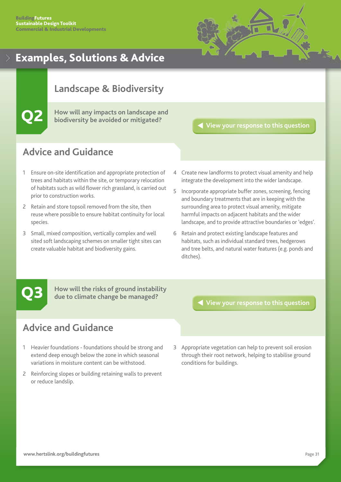![](_page_31_Figure_1.jpeg)

## <span id="page-31-0"></span>**Landscape & Biodiversity**

Q2 **How will any impacts on landscape and biodiversity be avoided or mitigated?**

**[View your response to this question](#page-12-0)**

## **Advice and Guidance**

- 1 Ensure on-site identification and appropriate protection of trees and habitats within the site, or temporary relocation of habitats such as wild flower rich grassland, is carried out prior to construction works.
- 2 Retain and store topsoil removed from the site, then reuse where possible to ensure habitat continuity for local species.
- 3 Small, mixed composition, vertically complex and well sited soft landscaping schemes on smaller tight sites can create valuable habitat and biodiversity gains.
- 4 Create new landforms to protect visual amenity and help integrate the development into the wider landscape.
- 5 Incorporate appropriate buffer zones, screening, fencing and boundary treatments that are in keeping with the surrounding area to protect visual amenity, mitigate harmful impacts on adjacent habitats and the wider landscape, and to provide attractive boundaries or 'edges'.
- 6 Retain and protect existing landscape features and habitats, such as individual standard trees, hedgerows and tree belts, and natural water features (e.g. ponds and ditches).

**Q3** How will the risks of ground instability<br>due to climate change be managed?<br> **[View your response to this question](#page-13-0) due to climate change be managed?**

## **Advice and Guidance**

- 1 Heavier foundations foundations should be strong and extend deep enough below the zone in which seasonal variations in moisture content can be withstood.
- 2 Reinforcing slopes or building retaining walls to prevent or reduce landslip.

3 Appropriate vegetation can help to prevent soil erosion through their root network, helping to stabilise ground conditions for buildings.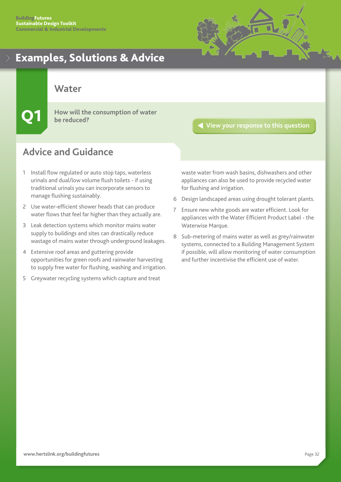![](_page_32_Picture_1.jpeg)

<span id="page-32-0"></span>**Water**

Q1 **How will the consumption of water be reduced?**

## **Advice and Guidance**

- 1 Install flow regulated or auto stop taps, waterless urinals and dual/low volume flush toilets - if using traditional urinals you can incorporate sensors to manage flushing sustainably.
- 2 Use water-efficient shower heads that can produce water flows that feel far higher than they actually are.
- 3 Leak detection systems which monitor mains water supply to buildings and sites can drastically reduce wastage of mains water through underground leakages.
- 4 Extensive roof areas and guttering provide opportunities for green roofs and rainwater harvesting to supply free water for flushing, washing and irrigation.
- 5 Greywater recycling systems which capture and treat

**[View your response to this question](#page-14-0)**

waste water from wash basins, dishwashers and other appliances can also be used to provide recycled water for flushing and irrigation.

- 6 Design landscaped areas using drought tolerant plants.
- 7 Ensure new white goods are water efficient. Look for appliances with the Water Efficient Product Label - the Waterwise Marque.
- 8 Sub-metering of mains water as well as grey/rainwater systems, connected to a Building Management System if possible, will allow monitoring of water consumption and further incentivise the efficient use of water.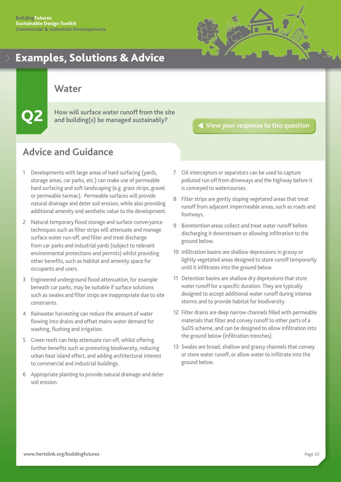![](_page_33_Picture_1.jpeg)

<span id="page-33-0"></span>**Water**

Q2 **How will surface water runoff from the site and building(s) be managed sustainably?**

**[View your response to this question](#page-15-0)**

- 1 Developments with large areas of hard surfacing (yards, storage areas, car parks, etc.) can make use of permeable hard surfacing and soft landscaping (e.g. grass strips, gravel or permeable tarmac). Permeable surfaces will provide natural drainage and deter soil erosion, while also providing additional amenity and aesthetic value to the development.
- 2 Natural temporary flood storage and surface converyance techniques such as filter strips will attenuate and manage surface water run-off, and filter and treat discharge from car parks and industrial yards (subject to relevant environmental protections and permits) whilst providing other benefits, such as habitat and amenity space for occupants and users.
- 3 Engineered underground flood attenuation, for example beneath car parks, may be suitable if surface solutions such as swales and filter strips are inappropriate due to site constraints.
- 4 Rainwater harvesting can reduce the amount of water flowing into drains and offset mains water demand for washing, flushing and irrigation.
- 5 Green roofs can help attenuate run-off, whilst offering further benefits such as promoting biodiversity, reducing urban heat island effect, and adding architectural interest to commercial and industrial buildings.
- 6 Appropriate planting to provide natural drainage and deter soil erosion.
- 7 Oil interceptors or separators can be used to capture polluted run off from driveways and the highway before it is conveyed to watercourses.
- 8 Filter strips are gently sloping vegetated areas that treat runoff from adjacent impermeable areas, such as roads and footways.
- 9 Bioretention areas collect and treat water runoff before discharging it downstream or allowing infiltration to the ground below.
- 10 Infiltration basins are shallow depressions in grassy or lightly vegetated areas designed to store runoff temporarily until it infiltrates into the ground below.
- 11 Detention basins are shallow dry depressions that store water runoff for a specific duration. They are typically designed to accept additional water runoff during intense storms and to provide habitat for biodiversity.
- 12 Filter drains are deep narrow channels filled with permeable materials that filter and convey runoff to other parts of a SuDS scheme, and can be designed to allow infiltration into the ground below (infiltration trenches).
- 13 Swales are broad, shallow and grassy channels that convey or store water runoff, or allow water to infiltrate into the ground below.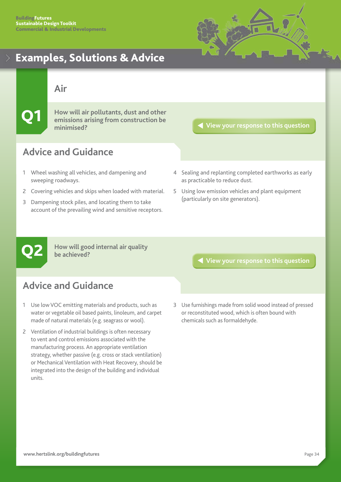![](_page_34_Picture_1.jpeg)

## <span id="page-34-0"></span>**Air**

Q1 **How will air pollutants, dust and other emissions arising from construction be minimised?**

## **[View your response to this question](#page-16-0)**

## **Advice and Guidance**

- 1 Wheel washing all vehicles, and dampening and sweeping roadways.
- 2 Covering vehicles and skips when loaded with material.
- 3 Dampening stock piles, and locating them to take account of the prevailing wind and sensitive receptors.
- 4 Sealing and replanting completed earthworks as early as practicable to reduce dust.
- 5 Using low emission vehicles and plant equipment (particularly on site generators).

**How will good internal air quality be achieved?**

## **Advice and Guidance**

- 1 Use low VOC emitting materials and products, such as water or vegetable oil based paints, linoleum, and carpet made of natural materials (e.g. seagrass or wool).
- 2 Ventilation of industrial buildings is often necessary to vent and control emissions associated with the manufacturing process. An appropriate ventilation strategy, whether passive (e.g. cross or stack ventilation) or Mechanical Ventilation with Heat Recovery, should be integrated into the design of the building and individual units.

Q2 **[View your response to this question](#page-17-0)**

3 Use furnishings made from solid wood instead of pressed or reconstituted wood, which is often bound with chemicals such as formaldehyde.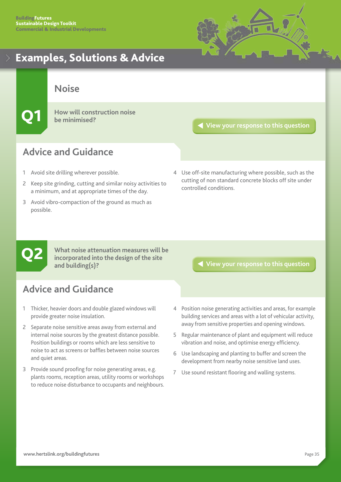![](_page_35_Picture_1.jpeg)

<span id="page-35-0"></span>**Noise**

**How will construction noise be minimised?**

**[View your response to this question](#page-18-0)**

## **Advice and Guidance**

- 1 Avoid site drilling wherever possible.
- 2 Keep site grinding, cutting and similar noisy activities to a minimum, and at appropriate times of the day.
- 3 Avoid vibro-compaction of the ground as much as possible.
- 4 Use off-site manufacturing where possible, such as the cutting of non standard concrete blocks off site under controlled conditions.

**What noise attenuation measures will be incorporated into the design of the site and building(s)?** What noise attenuation measures will be<br>incorporated into the design of the site<br>and building(s)?

- 1 Thicker, heavier doors and double glazed windows will provide greater noise insulation.
- 2 Separate noise sensitive areas away from external and internal noise sources by the greatest distance possible. Position buildings or rooms which are less sensitive to noise to act as screens or baffles between noise sources and quiet areas.
- 3 Provide sound proofing for noise generating areas, e.g. plants rooms, reception areas, utility rooms or workshops to reduce noise disturbance to occupants and neighbours.
- 
- 4 Position noise generating activities and areas, for example building services and areas with a lot of vehicular activity, away from sensitive properties and opening windows.
- 5 Regular maintenance of plant and equipment will reduce vibration and noise, and optimise energy efficiency.
- 6 Use landscaping and planting to buffer and screen the development from nearby noise sensitive land uses.
- 7 Use sound resistant flooring and walling systems.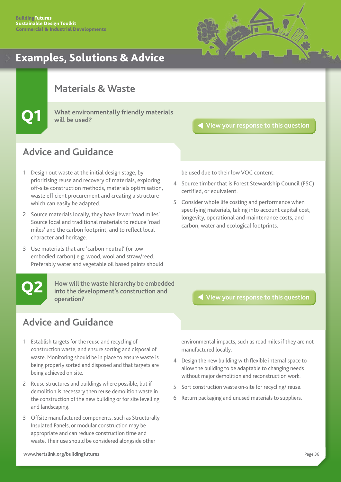![](_page_36_Figure_1.jpeg)

## <span id="page-36-0"></span>**Materials & Waste**

Q1 **What environmentally friendly materials will be used?**

## **[View your response to this question](#page-20-0)**

## **Advice and Guidance**

- 1 Design out waste at the initial design stage, by prioritising reuse and recovery of materials, exploring off-site construction methods, materials optimisation, waste efficient procurement and creating a structure which can easily be adapted.
- 2 Source materials locally, they have fewer 'road miles' Source local and traditional materials to reduce 'road miles' and the carbon footprint, and to reflect local character and heritage.
- 3 Use materials that are 'carbon neutral' (or low embodied carbon) e.g. wood, wool and straw/reed. Preferably water and vegetable oil based paints should

be used due to their low VOC content.

- 4 Source timber that is Forest Stewardship Council (FSC) certified, or equivalent.
- 5 Consider whole life costing and performance when specifying materials, taking into account capital cost, longevity, operational and maintenance costs, and carbon, water and ecological footprints.

**How will the waste hierarchy be embedded**<br>
operation?<br> **COP [View your response to this question](#page-21-0) into the development's construction and operation?** 

## **Advice and Guidance**

- 1 Establish targets for the reuse and recycling of construction waste, and ensure sorting and disposal of waste. Monitoring should be in place to ensure waste is being properly sorted and disposed and that targets are being achieved on site.
- 2 Reuse structures and buildings where possible, but if demolition is necessary then reuse demolition waste in the construction of the new building or for site levelling and landscaping.
- 3 Offsite manufactured components, such as Structurally Insulated Panels, or modular construction may be appropriate and can reduce construction time and waste. Their use should be considered alongside other

environmental impacts, such as road miles if they are not manufactured locally.

- 4 Design the new building with flexible internal space to allow the building to be adaptable to changing needs without major demolition and reconstruction work.
- 5 Sort construction waste on-site for recycling/ reuse.
- 6 Return packaging and unused materials to suppliers.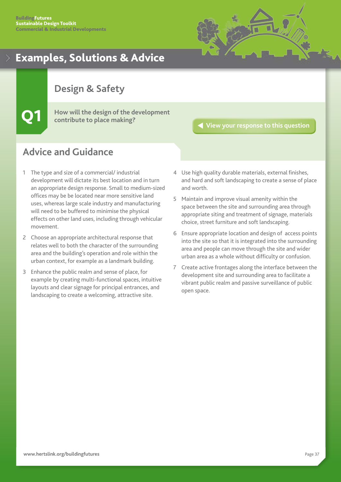![](_page_37_Picture_1.jpeg)

## <span id="page-37-0"></span>**Design & Safety**

Q1 **How will the design of the development contribute to place making?**

## **[View your response to this question](#page-22-0)**

- 1 The type and size of a commercial/ industrial development will dictate its best location and in turn an appropriate design response. Small to medium-sized offices may be be located near more sensitive land uses, whereas large scale industry and manufacturing will need to be buffered to minimise the physical effects on other land uses, including through vehicular movement.
- 2 Choose an appropriate architectural response that relates well to both the character of the surrounding area and the building's operation and role within the urban context, for example as a landmark building.
- 3 Enhance the public realm and sense of place, for example by creating multi-functional spaces, intuitive layouts and clear signage for principal entrances, and landscaping to create a welcoming, attractive site.
- 4 Use high quality durable materials, external finishes, and hard and soft landscaping to create a sense of place and worth.
- 5 Maintain and improve visual amenity within the space between the site and surrounding area through appropriate siting and treatment of signage, materials choice, street furniture and soft landscaping.
- 6 Ensure appropriate location and design of access points into the site so that it is integrated into the surrounding area and people can move through the site and wider urban area as a whole without difficulty or confusion.
- 7 Create active frontages along the interface between the development site and surrounding area to facilitate a vibrant public realm and passive surveillance of public open space.